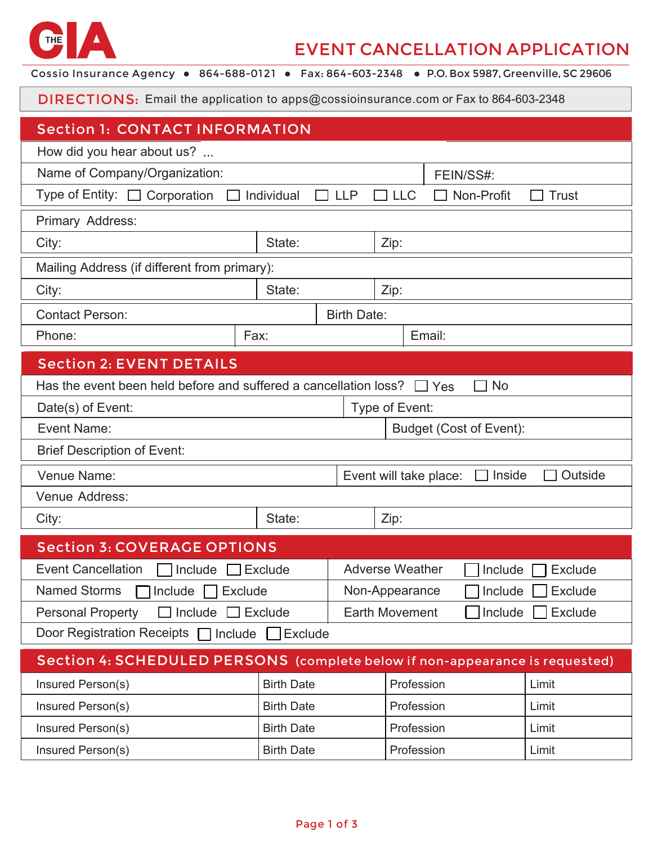

## EVENT CANCELLATION APPLICATION

Cossio Insurance Agency . 864-688-0121 . Fax: 864-603-2348 . P.O. Box 5987, Greenville, SC 29606

DIRECTIONS: Email the application to apps@cossioinsurance.com or Fax to 864-603-2348

| <b>Section 1: CONTACT INFORMATION</b>                                                                 |                    |  |                                              |           |  |  |  |  |
|-------------------------------------------------------------------------------------------------------|--------------------|--|----------------------------------------------|-----------|--|--|--|--|
| How did you hear about us?                                                                            |                    |  |                                              |           |  |  |  |  |
| Name of Company/Organization:                                                                         |                    |  |                                              | FEIN/SS#: |  |  |  |  |
| Type of Entity: □ Corporation<br>Non-Profit<br>$\Box$ Individual<br><b>LLC</b><br>$\Box$ LLP<br>Trust |                    |  |                                              |           |  |  |  |  |
| Primary Address:                                                                                      |                    |  |                                              |           |  |  |  |  |
| State:<br>City:                                                                                       |                    |  | Zip:                                         |           |  |  |  |  |
| Mailing Address (if different from primary):                                                          |                    |  |                                              |           |  |  |  |  |
| City:                                                                                                 | State:             |  | Zip:                                         |           |  |  |  |  |
| <b>Contact Person:</b>                                                                                | <b>Birth Date:</b> |  |                                              |           |  |  |  |  |
| Phone:                                                                                                | Fax:               |  | Email:                                       |           |  |  |  |  |
| <b>Section 2: EVENT DETAILS</b>                                                                       |                    |  |                                              |           |  |  |  |  |
| Has the event been held before and suffered a cancellation loss?<br><b>No</b><br>$\Box$ Yes           |                    |  |                                              |           |  |  |  |  |
| Type of Event:<br>Date(s) of Event:                                                                   |                    |  |                                              |           |  |  |  |  |
| Event Name:                                                                                           |                    |  | <b>Budget (Cost of Event):</b>               |           |  |  |  |  |
| <b>Brief Description of Event:</b>                                                                    |                    |  |                                              |           |  |  |  |  |
| Venue Name:                                                                                           |                    |  | Event will take place:<br>Inside<br>Outside  |           |  |  |  |  |
| Venue Address:                                                                                        |                    |  |                                              |           |  |  |  |  |
| City:                                                                                                 | State:             |  | Zip:                                         |           |  |  |  |  |
| <b>Section 3: COVERAGE OPTIONS</b>                                                                    |                    |  |                                              |           |  |  |  |  |
| <b>Event Cancellation</b><br>$\Box$ Include $\Box$<br>$\sqcap$ Exclude                                |                    |  | <b>Adverse Weather</b><br>Include<br>Exclude |           |  |  |  |  |
| Named Storms □ Include □ Exclude                                                                      |                    |  | □ Include □ Exclude<br>Non-Appearance        |           |  |  |  |  |
| $\Box$ Include $\Box$ Exclude<br><b>Personal Property</b>                                             |                    |  | Exclude<br><b>Earth Movement</b><br>Include  |           |  |  |  |  |
| Door Registration Receipts □ Include<br>Exclude                                                       |                    |  |                                              |           |  |  |  |  |
| Section 4: SCHEDULED PERSONS (complete below if non-appearance is requested)                          |                    |  |                                              |           |  |  |  |  |
| Insured Person(s)                                                                                     | <b>Birth Date</b>  |  | Profession                                   | Limit     |  |  |  |  |
| Insured Person(s)                                                                                     | <b>Birth Date</b>  |  | Profession                                   | Limit     |  |  |  |  |
| Insured Person(s)                                                                                     | <b>Birth Date</b>  |  | Profession                                   | Limit     |  |  |  |  |
| Insured Person(s)                                                                                     | <b>Birth Date</b>  |  | Profession                                   | Limit     |  |  |  |  |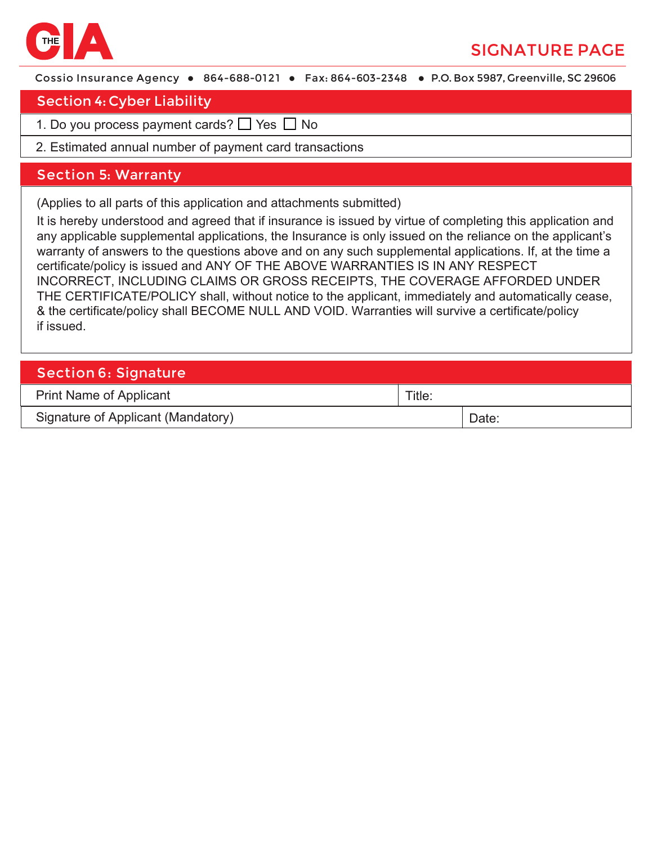

# SIGNATURE PAGE

Cossio Insurance Agency • 864-688-0121 • Fax: 864-603-2348 • P.O. Box 5987, Greenville, SC 29606

#### Section 4: Cyber Liability

- 1. Do you process payment cards? □ Yes □ No
- 2. Estimated annual number of payment card transactions

#### S ection 5: Warranty

(Applies to all parts of this application and attachments submitted)

It is hereby understood and agreed that if insurance is issued by virtue of completing this application and any applicable supplemental applications, the Insurance is only issued on the reliance on the applicant's warranty of answers to the questions above and on any such supplemental applications. If, at the time a certificate/policy is issued and ANY OF THE ABOVE WARRANTIES IS IN ANY RESPECT INCORRECT, INCLUDING CLAIMS OR GROSS RECEIPTS, THE COVERAGE AFFORDED UNDER THE CERTIFICATE/POLICY shall, without notice to the applicant, immediately and automatically cease, & the certificate/policy shall BECOME NULL AND VOID. Warranties will survive a certificate/policy if issued.

| <b>Section 6: Signature</b>        |        |       |  |  |  |  |
|------------------------------------|--------|-------|--|--|--|--|
| <b>Print Name of Applicant</b>     | Title: |       |  |  |  |  |
| Signature of Applicant (Mandatory) |        | Date: |  |  |  |  |